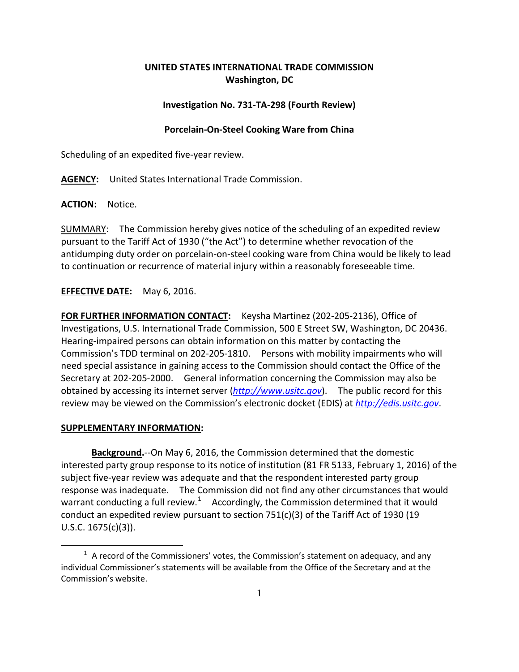# **UNITED STATES INTERNATIONAL TRADE COMMISSION Washington, DC**

## **Investigation No. 731-TA-298 (Fourth Review)**

### **Porcelain-On-Steel Cooking Ware from China**

Scheduling of an expedited five-year review.

**AGENCY:** United States International Trade Commission.

**ACTION:** Notice.

SUMMARY: The Commission hereby gives notice of the scheduling of an expedited review pursuant to the Tariff Act of 1930 ("the Act") to determine whether revocation of the antidumping duty order on porcelain-on-steel cooking ware from China would be likely to lead to continuation or recurrence of material injury within a reasonably foreseeable time.

## **EFFECTIVE DATE:** May 6, 2016.

**FOR FURTHER INFORMATION CONTACT:** Keysha Martinez (202-205-2136), Office of Investigations, U.S. International Trade Commission, 500 E Street SW, Washington, DC 20436. Hearing-impaired persons can obtain information on this matter by contacting the Commission's TDD terminal on 202-205-1810. Persons with mobility impairments who will need special assistance in gaining access to the Commission should contact the Office of the Secretary at 202-205-2000. General information concerning the Commission may also be obtained by accessing its internet server (*[http://www.usitc.gov](http://www.usitc.gov/)*). The public record for this review may be viewed on the Commission's electronic docket (EDIS) at *[http://edis.usitc.gov](http://edis.usitc.gov/)*.

#### **SUPPLEMENTARY INFORMATION:**

 $\overline{a}$ 

**Background.**--On May 6, 2016, the Commission determined that the domestic interested party group response to its notice of institution (81 FR 5133, February 1, 2016) of the subject five-year review was adequate and that the respondent interested party group response was inadequate. The Commission did not find any other circumstances that would warrant conducting a full review.<sup>[1](#page-0-0)</sup> Accordingly, the Commission determined that it would conduct an expedited review pursuant to section 751(c)(3) of the Tariff Act of 1930 (19 U.S.C. 1675(c)(3)).

<span id="page-0-0"></span> $1$  A record of the Commissioners' votes, the Commission's statement on adequacy, and any individual Commissioner's statements will be available from the Office of the Secretary and at the Commission's website.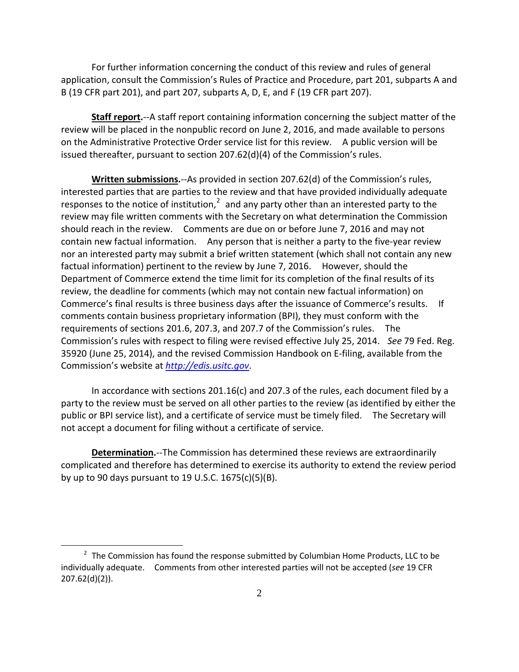For further information concerning the conduct of this review and rules of general application, consult the Commission's Rules of Practice and Procedure, part 201, subparts A and B (19 CFR part 201), and part 207, subparts A, D, E, and F (19 CFR part 207).

**Staff report.**--A staff report containing information concerning the subject matter of the review will be placed in the nonpublic record on June 2, 2016, and made available to persons on the Administrative Protective Order service list for this review. A public version will be issued thereafter, pursuant to section 207.62(d)(4) of the Commission's rules.

**Written submissions.**--As provided in section 207.62(d) of the Commission's rules, interested parties that are parties to the review and that have provided individually adequate responses to the notice of institution, $2$  and any party other than an interested party to the review may file written comments with the Secretary on what determination the Commission should reach in the review. Comments are due on or before June 7, 2016 and may not contain new factual information. Any person that is neither a party to the five-year review nor an interested party may submit a brief written statement (which shall not contain any new factual information) pertinent to the review by June 7, 2016. However, should the Department of Commerce extend the time limit for its completion of the final results of its review, the deadline for comments (which may not contain new factual information) on Commerce's final results is three business days after the issuance of Commerce's results. If comments contain business proprietary information (BPI), they must conform with the requirements of sections 201.6, 207.3, and 207.7 of the Commission's rules. The Commission's rules with respect to filing were revised effective July 25, 2014. *See* 79 Fed. Reg. 35920 (June 25, 2014), and the revised Commission Handbook on E-filing, available from the Commission's website at *[http://edis.usitc.gov](http://edis.usitc.gov/)*.

In accordance with sections 201.16(c) and 207.3 of the rules, each document filed by a party to the review must be served on all other parties to the review (as identified by either the public or BPI service list), and a certificate of service must be timely filed. The Secretary will not accept a document for filing without a certificate of service.

**Determination.**--The Commission has determined these reviews are extraordinarily complicated and therefore has determined to exercise its authority to extend the review period by up to 90 days pursuant to 19 U.S.C. 1675(c)(5)(B).

 $\overline{a}$ 

<span id="page-1-0"></span> $2$  The Commission has found the response submitted by Columbian Home Products, LLC to be individually adequate. Comments from other interested parties will not be accepted (*see* 19 CFR 207.62(d)(2)).